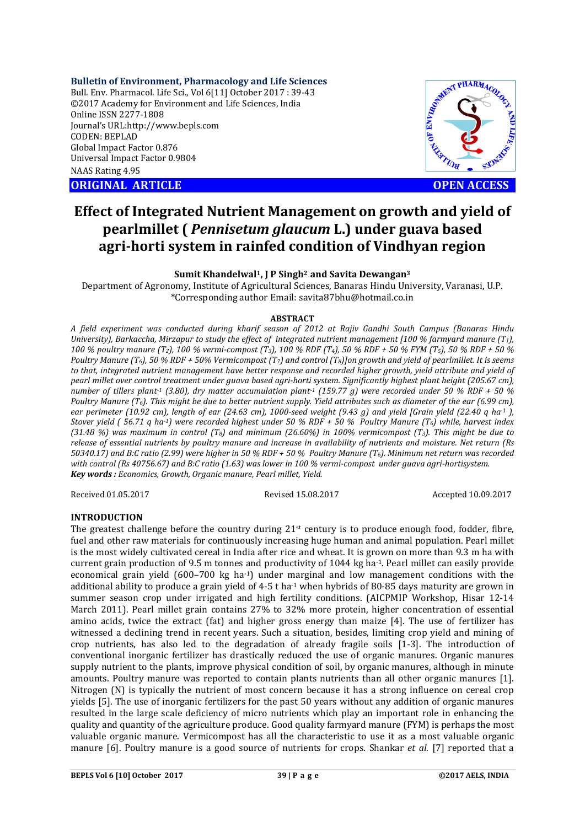# **Bulletin of Environment, Pharmacology and Life Sciences**

Bull. Env. Pharmacol. Life Sci., Vol 6[11] October 2017 : 39-43 ©2017 Academy for Environment and Life Sciences, India Online ISSN 2277-1808 Journal's URL:http://www.bepls.com CODEN: BEPLAD Global Impact Factor 0.876 Universal Impact Factor 0.9804 NAAS Rating 4.95 CORPORATION CORPORATION NATION ARTICLE<br>
ORIGINAL ARTICLE<br>
ORIGINAL ARTICLE<br>
ORIGINAL ARTICLE<br>
ORIGINAL ARTICLE<br>
OPEN ACCESS



# **Effect of Integrated Nutrient Management on growth and yield of pearlmillet (** *Pennisetum glaucum* **L.) under guava based agri-horti system in rainfed condition of Vindhyan region**

# **Sumit Khandelwal1, J P Singh2 and Savita Dewangan3**

Department of Agronomy, Institute of Agricultural Sciences, Banaras Hindu University, Varanasi, U.P. \*Corresponding author Email: savita87bhu@hotmail.co.in

#### **ABSTRACT**

*A field experiment was conducted during kharif season of 2012 at Rajiv Gandhi South Campus (Banaras Hindu University), Barkaccha, Mirzapur to study the effect of integrated nutrient management [100 % farmyard manure (T1), 100 % poultry manure (T2), 100 % vermi-compost (T3), 100 % RDF (T4), 50 % RDF + 50 % FYM (T5), 50 % RDF + 50 % Poultry Manure (T6), 50 % RDF + 50% Vermicompost (T7) and control (T8)]on growth and yield of pearlmillet. It is seems to that, integrated nutrient management have better response and recorded higher growth, yield attribute and yield of pearl millet over control treatment under guava based agri-horti system. Significantly highest plant height (205.67 cm), number of tillers plant-1 (3.80), dry matter accumulation plant-1 (159.77 g) were recorded under 50 % RDF + 50 % Poultry Manure (T6). This might be due to better nutrient supply. Yield attributes such as diameter of the ear (6.99 cm), ear perimeter (10.92 cm), length of ear (24.63 cm), 1000-seed weight (9.43 g) and yield [Grain yield (22.40 q ha-1 ), Stover yield ( 56.71 q ha-1) were recorded highest under 50 % RDF + 50 % Poultry Manure (T6) while, harvest index (31.48 %) was maximum in control (T8) and minimum (26.60%) in 100% vermicompost (T3). This might be due to release of essential nutrients by poultry manure and increase in availability of nutrients and moisture. Net return (Rs 50340.17) and B:C ratio (2.99) were higher in 50 % RDF + 50 % Poultry Manure (T6). Minimum net return was recorded with control (Rs 40756.67) and B:C ratio (1.63) was lower in 100 % vermi-compost under guava agri-hortisystem. Key words : Economics, Growth, Organic manure, Pearl millet, Yield.*

Received 01.05.2017 Revised 15.08.2017 Accepted 10.09.2017

# **INTRODUCTION**

The greatest challenge before the country during  $21<sup>st</sup>$  century is to produce enough food, fodder, fibre, fuel and other raw materials for continuously increasing huge human and animal population. Pearl millet is the most widely cultivated cereal in India after rice and wheat. It is grown on more than 9.3 m ha with current grain production of 9.5 m tonnes and productivity of 1044 kg ha-1. Pearl millet can easily provide economical grain yield (600–700 kg ha-1) under marginal and low management conditions with the additional ability to produce a grain yield of 4-5 t ha<sup>-1</sup> when hybrids of 80-85 days maturity are grown in summer season crop under irrigated and high fertility conditions. (AICPMIP Workshop, Hisar 12-14 March 2011). Pearl millet grain contains 27% to 32% more protein, higher concentration of essential amino acids, twice the extract (fat) and higher gross energy than maize [4]. The use of fertilizer has witnessed a declining trend in recent years. Such a situation, besides, limiting crop yield and mining of crop nutrients, has also led to the degradation of already fragile soils [1-3]. The introduction of conventional inorganic fertilizer has drastically reduced the use of organic manures. Organic manures supply nutrient to the plants, improve physical condition of soil, by organic manures, although in minute amounts. Poultry manure was reported to contain plants nutrients than all other organic manures [1]. Nitrogen (N) is typically the nutrient of most concern because it has a strong influence on cereal crop yields [5]. The use of inorganic fertilizers for the past 50 years without any addition of organic manures resulted in the large scale deficiency of micro nutrients which play an important role in enhancing the quality and quantity of the agriculture produce. Good quality farmyard manure (FYM) is perhaps the most valuable organic manure. Vermicompost has all the characteristic to use it as a most valuable organic manure [6]. Poultry manure is a good source of nutrients for crops. Shankar *et al.* [7] reported that a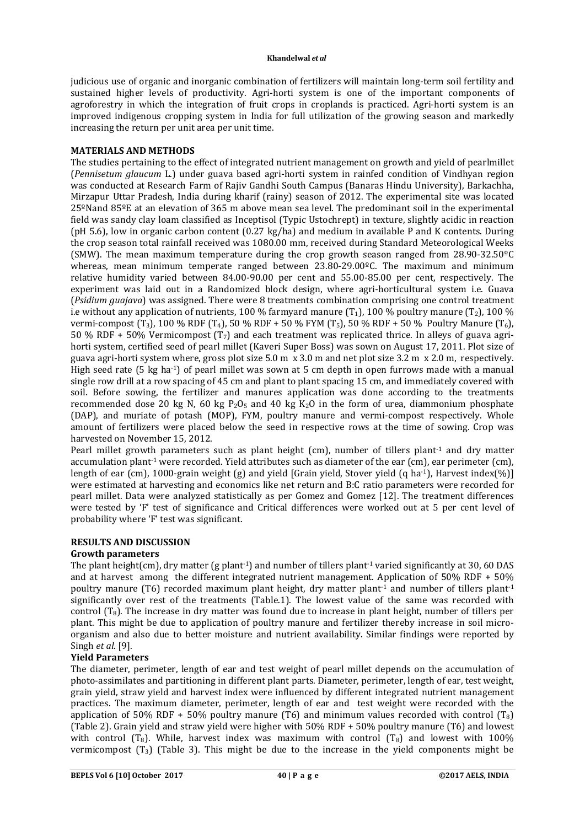judicious use of organic and inorganic combination of fertilizers will maintain long-term soil fertility and sustained higher levels of productivity. Agri-horti system is one of the important components of agroforestry in which the integration of fruit crops in croplands is practiced. Agri-horti system is an improved indigenous cropping system in India for full utilization of the growing season and markedly increasing the return per unit area per unit time.

### **MATERIALS AND METHODS**

The studies pertaining to the effect of integrated nutrient management on growth and yield of pearlmillet (*Pennisetum glaucum* L.) under guava based agri-horti system in rainfed condition of Vindhyan region was conducted at Research Farm of Rajiv Gandhi South Campus (Banaras Hindu University), Barkachha, Mirzapur Uttar Pradesh, India during kharif (rainy) season of 2012. The experimental site was located 25ºNand 85ºE at an elevation of 365 m above mean sea level. The predominant soil in the experimental field was sandy clay loam classified as Inceptisol (Typic Ustochrept) in texture, slightly acidic in reaction (pH 5.6), low in organic carbon content (0.27 kg/ha) and medium in available P and K contents. During the crop season total rainfall received was 1080.00 mm, received during Standard Meteorological Weeks (SMW). The mean maximum temperature during the crop growth season ranged from 28.90-32.50ºC whereas, mean minimum temperate ranged between 23.80-29.00°C. The maximum and minimum relative humidity varied between 84.00-90.00 per cent and 55.00-85.00 per cent, respectively. The experiment was laid out in a Randomized block design, where agri-horticultural system i.e. Guava (*Psidium guajava*) was assigned. There were 8 treatments combination comprising one control treatment i.e without any application of nutrients, 100 % farmyard manure  $(T_1)$ , 100 % poultry manure  $(T_2)$ , 100 % vermi-compost  $(T_3)$ , 100 % RDF  $(T_4)$ , 50 % RDF + 50 % FYM  $(T_5)$ , 50 % RDF + 50 % Poultry Manure  $(T_6)$ , 50 % RDF + 50% Vermicompost (T<sub>7</sub>) and each treatment was replicated thrice. In alleys of guava agrihorti system, certified seed of pearl millet (Kaveri Super Boss) was sown on August 17, 2011. Plot size of guava agri-horti system where, gross plot size 5.0 m x 3.0 m and net plot size 3.2 m x 2.0 m, respectively. High seed rate (5 kg ha-1) of pearl millet was sown at 5 cm depth in open furrows made with a manual single row drill at a row spacing of 45 cm and plant to plant spacing 15 cm, and immediately covered with soil. Before sowing, the fertilizer and manures application was done according to the treatments recommended dose 20 kg N, 60 kg P<sub>2</sub>O<sub>5</sub> and 40 kg K<sub>2</sub>O in the form of urea, diammonium phosphate (DAP), and muriate of potash (MOP), FYM, poultry manure and vermi-compost respectively. Whole amount of fertilizers were placed below the seed in respective rows at the time of sowing. Crop was harvested on November 15, 2012.

Pearl millet growth parameters such as plant height (cm), number of tillers plant<sup>1</sup> and dry matter accumulation plant<sup>-1</sup> were recorded. Yield attributes such as diameter of the ear (cm), ear perimeter (cm), length of ear (cm), 1000-grain weight (g) and yield [Grain yield, Stover yield (q ha-1), Harvest index(%)] were estimated at harvesting and economics like net return and B:C ratio parameters were recorded for pearl millet. Data were analyzed statistically as per Gomez and Gomez [12]. The treatment differences were tested by 'F' test of significance and Critical differences were worked out at 5 per cent level of probability where 'F' test was significant.

# **RESULTS AND DISCUSSION**

# **Growth parameters**

The plant height(cm), dry matter (g plant<sup>-1</sup>) and number of tillers plant<sup>-1</sup> varied significantly at 30, 60 DAS and at harvest among the different integrated nutrient management. Application of 50% RDF + 50% poultry manure (T6) recorded maximum plant height, dry matter plant<sup>1</sup> and number of tillers plant<sup>1</sup> significantly over rest of the treatments (Table.1). The lowest value of the same was recorded with control  $(T_8)$ . The increase in dry matter was found due to increase in plant height, number of tillers per plant. This might be due to application of poultry manure and fertilizer thereby increase in soil microorganism and also due to better moisture and nutrient availability. Similar findings were reported by Singh *et al*. [9].

# **Yield Parameters**

The diameter, perimeter, length of ear and test weight of pearl millet depends on the accumulation of photo-assimilates and partitioning in different plant parts. Diameter, perimeter, length of ear, test weight, grain yield, straw yield and harvest index were influenced by different integrated nutrient management practices. The maximum diameter, perimeter, length of ear and test weight were recorded with the application of 50% RDF + 50% poultry manure (T6) and minimum values recorded with control (T<sub>8</sub>) (Table 2). Grain yield and straw yield were higher with 50% RDF + 50% poultry manure (T6) and lowest with control  $(T_8)$ . While, harvest index was maximum with control  $(T_8)$  and lowest with 100% vermicompost  $(T_3)$  (Table 3). This might be due to the increase in the yield components might be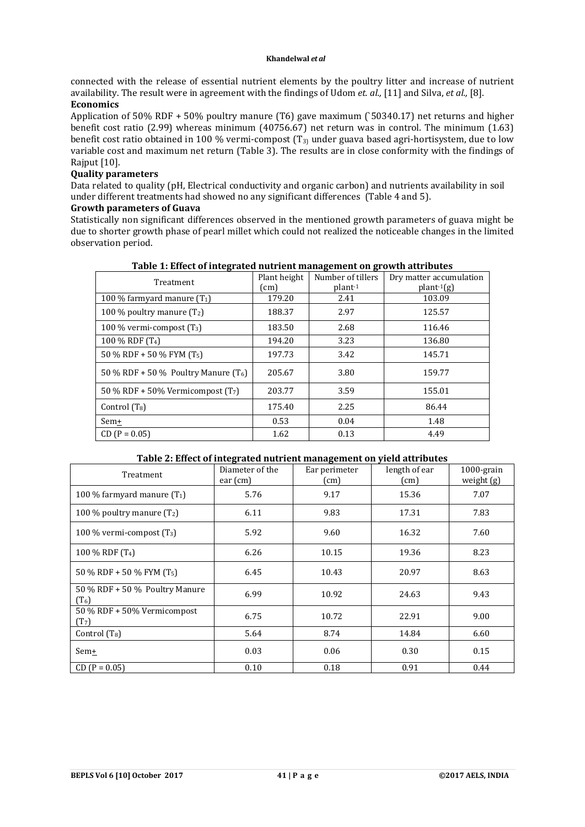connected with the release of essential nutrient elements by the poultry litter and increase of nutrient availability. The result were in agreement with the findings of Udom *et. al.,* [11] and Silva, *et al.,* [8]. **Economics** 

Application of 50% RDF + 50% poultry manure (T6) gave maximum (`50340.17) net returns and higher benefit cost ratio (2.99) whereas minimum (40756.67) net return was in control. The minimum (1.63) benefit cost ratio obtained in 100 % vermi-compost  $(T_3)$  under guava based agri-hortisystem, due to low variable cost and maximum net return (Table 3). The results are in close conformity with the findings of Rajput [10].

#### **Quality parameters**

Data related to quality (pH, Electrical conductivity and organic carbon) and nutrients availability in soil under different treatments had showed no any significant differences (Table 4 and 5).

### **Growth parameters of Guava**

Statistically non significant differences observed in the mentioned growth parameters of guava might be due to shorter growth phase of pearl millet which could not realized the noticeable changes in the limited observation period.

| Treatment                              | Plant height | Number of tillers | Dry matter accumulation |
|----------------------------------------|--------------|-------------------|-------------------------|
|                                        | (cm)         | $plant-1$         | $plant-1(g)$            |
| 100 % farmyard manure $(T_1)$          | 179.20       | 2.41              | 103.09                  |
| 100 % poultry manure $(T_2)$           | 188.37       | 2.97              | 125.57                  |
| 100 % vermi-compost $(T_3)$            | 183.50       | 2.68              | 116.46                  |
| 100 % RDF (T <sub>4</sub> )            | 194.20       | 3.23              | 136.80                  |
| 50 % RDF + 50 % FYM $(T_5)$            | 197.73       | 3.42              | 145.71                  |
| 50 % RDF + 50 % Poultry Manure $(T_6)$ | 205.67       | 3.80              | 159.77                  |
| 50 % RDF + 50% Vermicompost $(T7)$     | 203.77       | 3.59              | 155.01                  |
| Control $(T_8)$                        | 175.40       | 2.25              | 86.44                   |
| Sem+                                   | 0.53         | 0.04              | 1.48                    |
| $CD (P = 0.05)$                        | 1.62         | 0.13              | 4.49                    |

#### **Table 1: Effect of integrated nutrient management on growth attributes**

# **Table 2: Effect of integrated nutrient management on yield attributes**

| Treatment                                             | Diameter of the<br>$ear$ (cm) | Ear perimeter<br>$\text{(cm)}$ | length of ear<br>$\text{(cm)}$ | $1000$ -grain<br>weight $(g)$ |
|-------------------------------------------------------|-------------------------------|--------------------------------|--------------------------------|-------------------------------|
| 100 % farmyard manure $(T_1)$                         | 5.76                          | 9.17                           | 15.36                          | 7.07                          |
| 100 % poultry manure $(T_2)$                          | 6.11                          | 9.83                           | 17.31                          | 7.83                          |
| 100 % vermi-compost $(T_3)$                           | 5.92                          | 9.60                           | 16.32                          | 7.60                          |
| 100 % RDF (T <sub>4</sub> )                           | 6.26                          | 10.15                          | 19.36                          | 8.23                          |
| 50 % RDF + 50 % FYM $(T_5)$                           | 6.45                          | 10.43                          | 20.97                          | 8.63                          |
| 50 % RDF + 50 % Poultry Manure<br>$(T_6)$             | 6.99                          | 10.92                          | 24.63                          | 9.43                          |
| $50\%$ RDF + $50\%$ Vermicompost<br>(T <sub>7</sub> ) | 6.75                          | 10.72                          | 22.91                          | 9.00                          |
| Control $(T_8)$                                       | 5.64                          | 8.74                           | 14.84                          | 6.60                          |
| Sem+                                                  | 0.03                          | 0.06                           | 0.30                           | 0.15                          |
| $CD (P = 0.05)$                                       | 0.10                          | 0.18                           | 0.91                           | 0.44                          |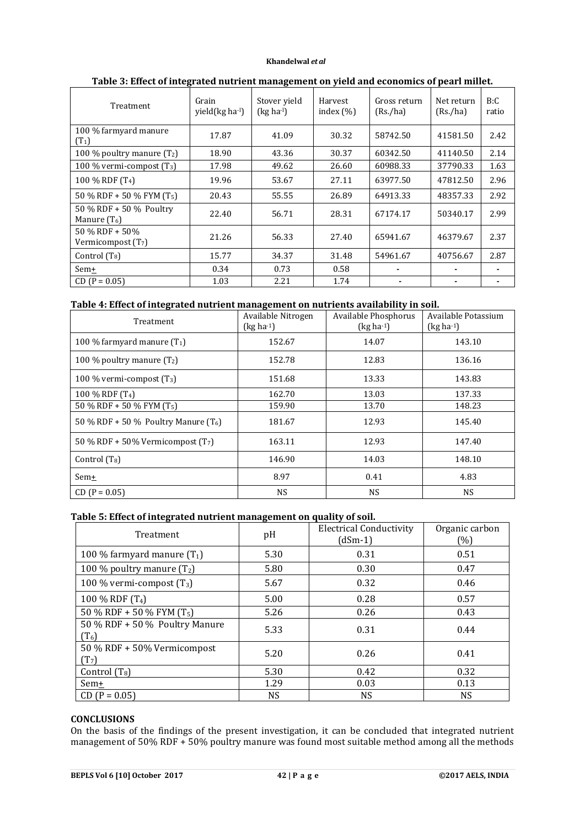| Treatment                                 | Grain<br>yield(kg ha-l) | Stover yield<br>$(kg ha-1)$ | Harvest<br>index $(\% )$ | Gross return<br>(Rs./ha) | Net return<br>(Rs./ha) | B:C<br>ratio |
|-------------------------------------------|-------------------------|-----------------------------|--------------------------|--------------------------|------------------------|--------------|
| 100 % farmyard manure<br>$(T_1)$          | 17.87                   | 41.09                       | 30.32                    | 58742.50                 | 41581.50               | 2.42         |
| 100 % poultry manure $(T_2)$              | 18.90                   | 43.36                       | 30.37                    | 60342.50                 | 41140.50               | 2.14         |
| 100 % vermi-compost $(T_3)$               | 17.98                   | 49.62                       | 26.60                    | 60988.33                 | 37790.33               | 1.63         |
| 100 % RDF (T <sub>4</sub> )               | 19.96                   | 53.67                       | 27.11                    | 63977.50                 | 47812.50               | 2.96         |
| 50 % RDF + 50 % FYM $(T_5)$               | 20.43                   | 55.55                       | 26.89                    | 64913.33                 | 48357.33               | 2.92         |
| 50 % RDF + 50 % Poultry<br>Manure $(T_6)$ | 22.40                   | 56.71                       | 28.31                    | 67174.17                 | 50340.17               | 2.99         |
| 50 % RDF + 50%<br>Vermicompost $(T7)$     | 21.26                   | 56.33                       | 27.40                    | 65941.67                 | 46379.67               | 2.37         |
| Control $(T_8)$                           | 15.77                   | 34.37                       | 31.48                    | 54961.67                 | 40756.67               | 2.87         |
| Sem <sup>+</sup>                          | 0.34                    | 0.73                        | 0.58                     |                          |                        |              |
| $CD (P = 0.05)$                           | 1.03                    | 2.21                        | 1.74                     |                          |                        |              |

# **Table 3: Effect of integrated nutrient management on yield and economics of pearl millet.**

# **Table 4: Effect of integrated nutrient management on nutrients availability in soil.**

| Treatment                              | Available Nitrogen<br>$(kg ha-1)$ | Available Phosphorus<br>$(kg ha-1)$ | Available Potassium<br>$(kg ha-1)$ |
|----------------------------------------|-----------------------------------|-------------------------------------|------------------------------------|
| 100 % farmyard manure $(T_1)$          | 152.67                            | 14.07                               | 143.10                             |
| 100 % poultry manure $(T_2)$           | 152.78                            | 12.83                               | 136.16                             |
| 100 % vermi-compost $(T_3)$            | 151.68                            | 13.33                               | 143.83                             |
| 100 % RDF (T <sub>4</sub> )            | 162.70                            | 13.03                               | 137.33                             |
| 50 % RDF + 50 % FYM $(T_5)$            | 159.90                            | 13.70                               | 148.23                             |
| 50 % RDF + 50 % Poultry Manure $(T_6)$ | 181.67                            | 12.93                               | 145.40                             |
| 50 % RDF + 50% Vermicompost $(T7)$     | 163.11                            | 12.93                               | 147.40                             |
| Control $(T_8)$                        | 146.90                            | 14.03                               | 148.10                             |
| Sem+                                   | 8.97                              | 0.41                                | 4.83                               |
| $CD (P = 0.05)$                        | NS.                               | NS.                                 | <b>NS</b>                          |

# **Table 5: Effect of integrated nutrient management on quality of soil.**

| Treatment                                        | pH        | <b>Electrical Conductivity</b><br>(dSm-1) | Organic carbon<br>(%) |
|--------------------------------------------------|-----------|-------------------------------------------|-----------------------|
| 100 % farmyard manure $(T_1)$                    | 5.30      | 0.31                                      | 0.51                  |
| 100 % poultry manure $(T_2)$                     | 5.80      | 0.30                                      | 0.47                  |
| 100 % vermi-compost $(T_3)$                      | 5.67      | 0.32                                      | 0.46                  |
| 100 % RDF (T <sub>4</sub> )                      | 5.00      | 0.28                                      | 0.57                  |
| 50 % RDF + 50 % FYM $(T_5)$                      | 5.26      | 0.26                                      | 0.43                  |
| 50 % RDF + 50 % Poultry Manure<br>$(T_6)$        | 5.33      | 0.31                                      | 0.44                  |
| 50 % RDF + 50% Vermicompost<br>(T <sub>7</sub> ) | 5.20      | 0.26                                      | 0.41                  |
| Control $(T_8)$                                  | 5.30      | 0.42                                      | 0.32                  |
| $Sem+$                                           | 1.29      | 0.03                                      | 0.13                  |
| $CD (P = 0.05)$                                  | <b>NS</b> | <b>NS</b>                                 | <b>NS</b>             |

### **CONCLUSIONS**

On the basis of the findings of the present investigation, it can be concluded that integrated nutrient management of 50% RDF + 50% poultry manure was found most suitable method among all the methods